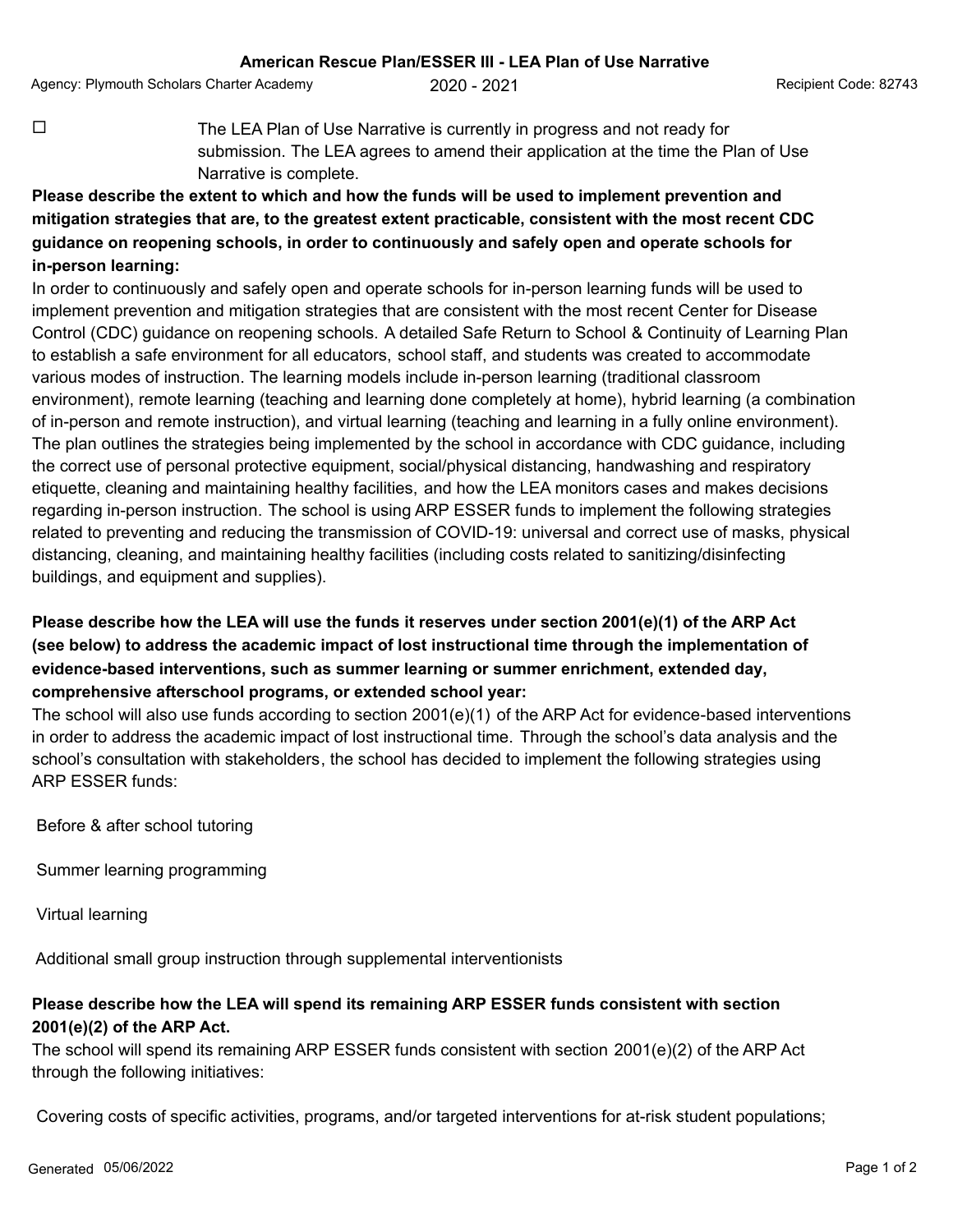Agency: Plymouth Scholars Charter Academy  $2020 - 2021$  Agency: Plymouth Scholars Code: 82743

 $\Box$  The LEA Plan of Use Narrative is currently in progress and not ready for submission. The LEA agrees to amend their application at the time the Plan of Use Narrative is complete.

## **Please describe the extent to which and how the funds will be used to implement prevention and mitigation strategies that are, to the greatest extent practicable, consistent with the most recent CDC guidance on reopening schools, in order to continuously and safely open and operate schools for in-person learning:**

In order to continuously and safely open and operate schools for in-person learning funds will be used to implement prevention and mitigation strategies that are consistent with the most recent Center for Disease Control (CDC) guidance on reopening schools. A detailed Safe Return to School & Continuity of Learning Plan to establish a safe environment for all educators, school staff, and students was created to accommodate various modes of instruction. The learning models include in-person learning (traditional classroom environment), remote learning (teaching and learning done completely at home), hybrid learning (a combination of in-person and remote instruction), and virtual learning (teaching and learning in a fully online environment). The plan outlines the strategies being implemented by the school in accordance with CDC guidance, including the correct use of personal protective equipment, social/physical distancing, handwashing and respiratory etiquette, cleaning and maintaining healthy facilities, and how the LEA monitors cases and makes decisions regarding in-person instruction. The school is using ARP ESSER funds to implement the following strategies related to preventing and reducing the transmission of COVID-19: universal and correct use of masks, physical distancing, cleaning, and maintaining healthy facilities (including costs related to sanitizing/disinfecting buildings, and equipment and supplies).

## **Please describe how the LEA will use the funds it reserves under section 2001(e)(1) of the ARP Act (see below) to address the academic impact of lost instructional time through the implementation of evidence-based interventions, such as summer learning or summer enrichment, extended day, comprehensive afterschool programs, or extended school year:**

The school will also use funds according to section 2001(e)(1) of the ARP Act for evidence-based interventions in order to address the academic impact of lost instructional time. Through the school's data analysis and the school's consultation with stakeholders, the school has decided to implement the following strategies using ARP ESSER funds:

Before & after school tutoring

Summer learning programming

Virtual learning

Additional small group instruction through supplemental interventionists

## **Please describe how the LEA will spend its remaining ARP ESSER funds consistent with section 2001(e)(2) of the ARP Act.**

The school will spend its remaining ARP ESSER funds consistent with section 2001(e)(2) of the ARP Act through the following initiatives:

Covering costs of specific activities, programs, and/or targeted interventions for at-risk student populations;